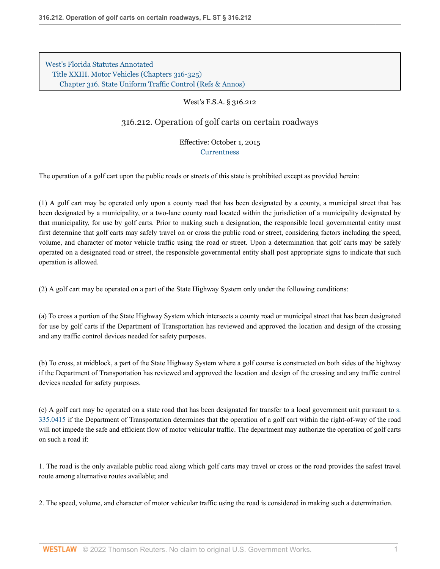[West's Florida Statutes Annotated](http://www.westlaw.com/Browse/Home/StatutesCourtRules/FloridaStatutesCourtRules?transitionType=DocumentItem&contextData=(sc.Search)&rs=clbt1.0&vr=3.0) [Title XXIII. Motor Vehicles \(Chapters 316-325\)](http://www.westlaw.com/Browse/Home/StatutesCourtRules/FloridaStatutesCourtRules?guid=NB4ECE3554D294CB3A22C79C5285A8631&transitionType=DocumentItem&contextData=(sc.Search)&rs=clbt1.0&vr=3.0) [Chapter 316. State Uniform Traffic Control](http://www.westlaw.com/Browse/Home/StatutesCourtRules/FloridaStatutesCourtRules?guid=N040270AB42814F038E178D73BBB070BD&transitionType=DocumentItem&contextData=(sc.Search)&rs=clbt1.0&vr=3.0) [\(Refs & Annos\)](http://www.westlaw.com/Link/Document/FullText?findType=l&cite=lk(FLSTTXXIIIC316R)&originatingDoc=N4189C3913B7811E5823BE24E38CB0B04&refType=CM&sourceCite=West%27s+F.S.A.+%c2%a7+316.212&originationContext=document&vr=3.0&rs=cblt1.0&transitionType=DocumentItem&pubNum=1000006&contextData=(sc.Search))

## West's F.S.A. § 316.212

316.212. Operation of golf carts on certain roadways

Effective: October 1, 2015 **[Currentness](#page-2-0)** 

The operation of a golf cart upon the public roads or streets of this state is prohibited except as provided herein:

(1) A golf cart may be operated only upon a county road that has been designated by a county, a municipal street that has been designated by a municipality, or a two-lane county road located within the jurisdiction of a municipality designated by that municipality, for use by golf carts. Prior to making such a designation, the responsible local governmental entity must first determine that golf carts may safely travel on or cross the public road or street, considering factors including the speed, volume, and character of motor vehicle traffic using the road or street. Upon a determination that golf carts may be safely operated on a designated road or street, the responsible governmental entity shall post appropriate signs to indicate that such operation is allowed.

(2) A golf cart may be operated on a part of the State Highway System only under the following conditions:

(a) To cross a portion of the State Highway System which intersects a county road or municipal street that has been designated for use by golf carts if the Department of Transportation has reviewed and approved the location and design of the crossing and any traffic control devices needed for safety purposes.

(b) To cross, at midblock, a part of the State Highway System where a golf course is constructed on both sides of the highway if the Department of Transportation has reviewed and approved the location and design of the crossing and any traffic control devices needed for safety purposes.

(c) A golf cart may be operated on a state road that has been designated for transfer to a local government unit pursuant to [s.](http://www.westlaw.com/Link/Document/FullText?findType=L&pubNum=1000006&cite=FLSTS335.0415&originatingDoc=N4189C3913B7811E5823BE24E38CB0B04&refType=LQ&originationContext=document&vr=3.0&rs=cblt1.0&transitionType=DocumentItem&contextData=(sc.Search)) [335.0415](http://www.westlaw.com/Link/Document/FullText?findType=L&pubNum=1000006&cite=FLSTS335.0415&originatingDoc=N4189C3913B7811E5823BE24E38CB0B04&refType=LQ&originationContext=document&vr=3.0&rs=cblt1.0&transitionType=DocumentItem&contextData=(sc.Search)) if the Department of Transportation determines that the operation of a golf cart within the right-of-way of the road will not impede the safe and efficient flow of motor vehicular traffic. The department may authorize the operation of golf carts on such a road if:

1. The road is the only available public road along which golf carts may travel or cross or the road provides the safest travel route among alternative routes available; and

2. The speed, volume, and character of motor vehicular traffic using the road is considered in making such a determination.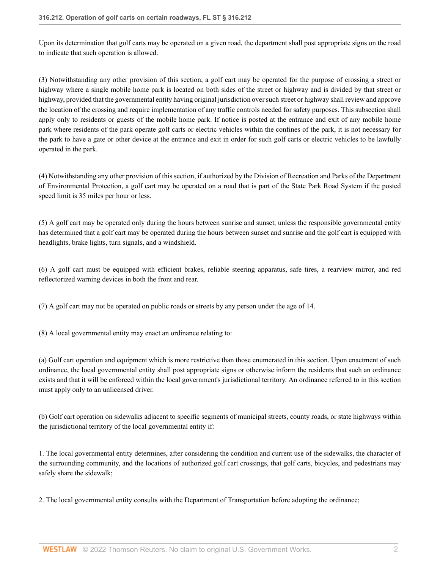Upon its determination that golf carts may be operated on a given road, the department shall post appropriate signs on the road to indicate that such operation is allowed.

(3) Notwithstanding any other provision of this section, a golf cart may be operated for the purpose of crossing a street or highway where a single mobile home park is located on both sides of the street or highway and is divided by that street or highway, provided that the governmental entity having original jurisdiction over such street or highway shall review and approve the location of the crossing and require implementation of any traffic controls needed for safety purposes. This subsection shall apply only to residents or guests of the mobile home park. If notice is posted at the entrance and exit of any mobile home park where residents of the park operate golf carts or electric vehicles within the confines of the park, it is not necessary for the park to have a gate or other device at the entrance and exit in order for such golf carts or electric vehicles to be lawfully operated in the park.

(4) Notwithstanding any other provision of this section, if authorized by the Division of Recreation and Parks of the Department of Environmental Protection, a golf cart may be operated on a road that is part of the State Park Road System if the posted speed limit is 35 miles per hour or less.

(5) A golf cart may be operated only during the hours between sunrise and sunset, unless the responsible governmental entity has determined that a golf cart may be operated during the hours between sunset and sunrise and the golf cart is equipped with headlights, brake lights, turn signals, and a windshield.

(6) A golf cart must be equipped with efficient brakes, reliable steering apparatus, safe tires, a rearview mirror, and red reflectorized warning devices in both the front and rear.

(7) A golf cart may not be operated on public roads or streets by any person under the age of 14.

(8) A local governmental entity may enact an ordinance relating to:

(a) Golf cart operation and equipment which is more restrictive than those enumerated in this section. Upon enactment of such ordinance, the local governmental entity shall post appropriate signs or otherwise inform the residents that such an ordinance exists and that it will be enforced within the local government's jurisdictional territory. An ordinance referred to in this section must apply only to an unlicensed driver.

(b) Golf cart operation on sidewalks adjacent to specific segments of municipal streets, county roads, or state highways within the jurisdictional territory of the local governmental entity if:

1. The local governmental entity determines, after considering the condition and current use of the sidewalks, the character of the surrounding community, and the locations of authorized golf cart crossings, that golf carts, bicycles, and pedestrians may safely share the sidewalk;

2. The local governmental entity consults with the Department of Transportation before adopting the ordinance;